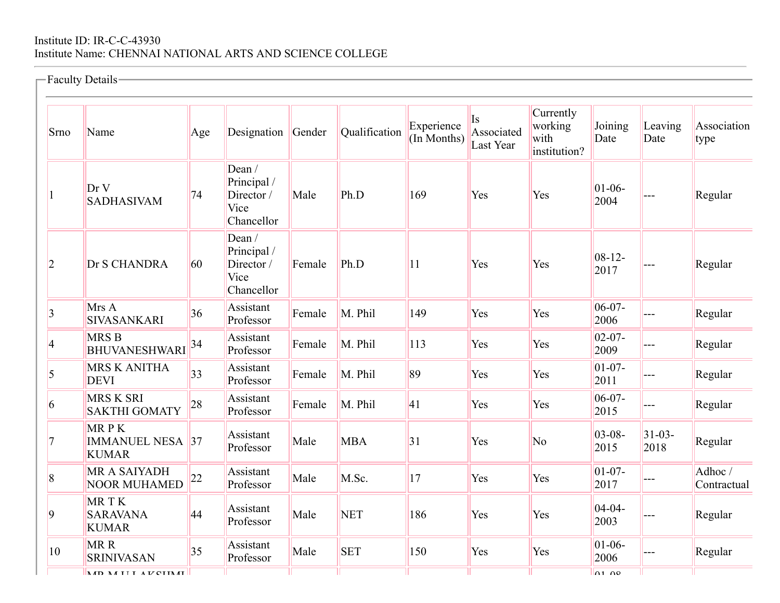## Institute ID: IR-C-C-43930 Institute Name: CHENNAI NATIONAL ARTS AND SCIENCE COLLEGE

|                | -Faculty Details-                               |     |                                                             |        |               |                           |                                          |                                              |                     |                     |                       |
|----------------|-------------------------------------------------|-----|-------------------------------------------------------------|--------|---------------|---------------------------|------------------------------------------|----------------------------------------------|---------------------|---------------------|-----------------------|
| Srno           | Name                                            | Age | Designation                                                 | Gender | Qualification | Experience<br>(In Months) | <sup>Is</sup><br>Associated<br>Last Year | Currently<br>working<br>with<br>institution? | Joining<br>Date     | Leaving<br>Date     | Association<br>type   |
|                | Dr V<br><b>SADHASIVAM</b>                       | 74  | Dean /<br>Principal /<br>Director /<br>Vice<br>Chancellor   | Male   | Ph.D          | 169                       | Yes                                      | Yes                                          | $01 - 06 -$<br>2004 |                     | Regular               |
| $\overline{2}$ | Dr S CHANDRA                                    | 60  | Dean $/$<br>Principal /<br>Director /<br>Vice<br>Chancellor | Female | Ph.D          | 11                        | Yes                                      | Yes                                          | $08 - 12 -$<br>2017 |                     | Regular               |
| $\overline{3}$ | Mrs A<br>SIVASANKARI                            | 36  | Assistant<br>Professor                                      | Female | M. Phil       | 149                       | Yes                                      | Yes                                          | $06-07-$<br>2006    |                     | Regular               |
| 4              | <b>MRSB</b><br><b>BHUVANESHWARI</b>             | 34  | Assistant<br>Professor                                      | Female | M. Phil       | 113                       | Yes                                      | Yes                                          | $02 - 07 -$<br>2009 | ---                 | Regular               |
| 5              | <b>MRS K ANITHA</b><br><b>DEVI</b>              | 33  | Assistant<br>Professor                                      | Female | M. Phil       | 89                        | Yes                                      | Yes                                          | $01 - 07 -$<br>2011 | ---                 | Regular               |
| 6              | <b>MRS K SRI</b><br><b>SAKTHI GOMATY</b>        | 28  | Assistant<br>Professor                                      | Female | M. Phil       | 41                        | Yes                                      | Yes                                          | $06-07-$<br>2015    | ---                 | Regular               |
| 7              | MRPK<br><b>IMMANUEL NESA 37</b><br><b>KUMAR</b> |     | Assistant<br>Professor                                      | Male   | <b>MBA</b>    | 31                        | Yes                                      | No                                           | $03 - 08 -$<br>2015 | $31 - 03 -$<br>2018 | Regular               |
| 8              | <b>MR A SAIYADH</b><br><b>NOOR MUHAMED</b>      | 22  | Assistant<br>Professor                                      | Male   | M.Sc.         | 17                        | Yes                                      | Yes                                          | $01 - 07 -$<br>2017 |                     | Adhoc/<br>Contractual |
| 9              | MRTK<br><b>SARAVANA</b><br><b>KUMAR</b>         | 44  | Assistant<br>Professor                                      | Male   | <b>NET</b>    | 186                       | Yes                                      | Yes                                          | $04 - 04 -$<br>2003 |                     | Regular               |
| 10             | MR R<br><b>SRINIVASAN</b>                       | 35  | Assistant<br>Professor                                      | Male   | <b>SET</b>    | 150                       | Yes                                      | Yes                                          | $01 - 06 -$<br>2006 |                     | Regular               |
|                | <b>MD MIII AVCUMI</b>                           |     |                                                             |        |               |                           |                                          |                                              | n100                |                     |                       |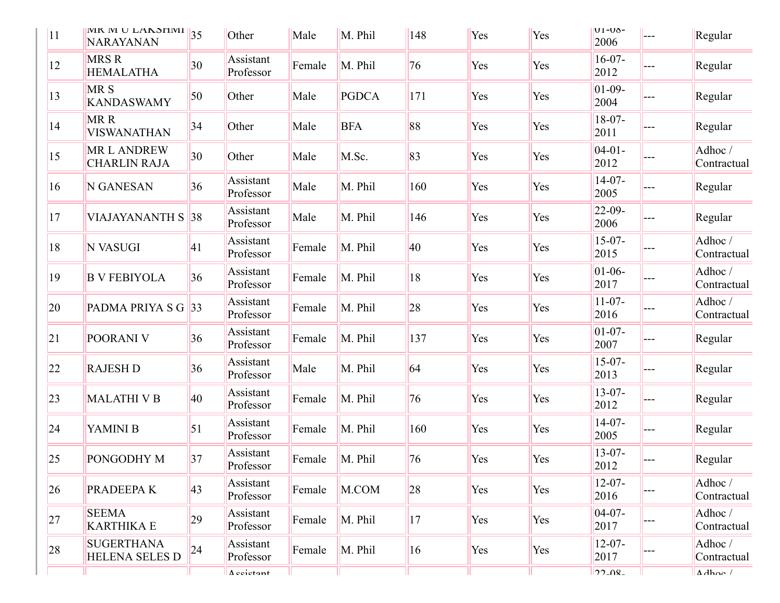| 11 | <b>IVIK IVI</b> U LANSHIVII $\ $ 35<br><b>NARAYANAN</b> |              | Other                  | Male   | M. Phil    | 148 | Yes | Yes | $U1-U0$ -<br>2006   | $---$ | Regular               |
|----|---------------------------------------------------------|--------------|------------------------|--------|------------|-----|-----|-----|---------------------|-------|-----------------------|
| 12 | <b>MRSR</b><br><b>HEMALATHA</b>                         | 30           | Assistant<br>Professor | Female | M. Phil    | 76  | Yes | Yes | $16-07-$<br>2012    |       | Regular               |
| 13 | MR <sub>S</sub><br><b>KANDASWAMY</b>                    | 50           | Other                  | Male   | PGDCA      | 171 | Yes | Yes | $01-09-$<br>2004    |       | Regular               |
| 14 | MR R<br><b>VISWANATHAN</b>                              | 34           | Other                  | Male   | <b>BFA</b> | 88  | Yes | Yes | $18-07-$<br>2011    |       | Regular               |
| 15 | <b>MRL ANDREW</b><br><b>CHARLIN RAJA</b>                | $ 30\rangle$ | Other                  | Male   | M.Sc.      | 83  | Yes | Yes | $04-01-$<br>2012    |       | Adhoc/<br>Contractual |
| 16 | N GANESAN                                               | 36           | Assistant<br>Professor | Male   | M. Phil    | 160 | Yes | Yes | $14-07-$<br>2005    |       | Regular               |
| 17 | <b>VIAJAYANANTH S</b>                                   | 38           | Assistant<br>Professor | Male   | M. Phil    | 146 | Yes | Yes | $22 - 09$<br>2006   |       | Regular               |
| 18 | N VASUGI                                                | 41           | Assistant<br>Professor | Female | M. Phil    | 40  | Yes | Yes | $15-07-$<br>2015    |       | Adhoc/<br>Contractual |
| 19 | <b>B V FEBIYOLA</b>                                     | 36           | Assistant<br>Professor | Female | M. Phil    | 18  | Yes | Yes | $01-06-$<br>2017    |       | Adhoc/<br>Contractual |
| 20 | PADMA PRIYA S G                                         | 33           | Assistant<br>Professor | Female | M. Phil    | 28  | Yes | Yes | $11 - 07 -$<br>2016 |       | Adhoc/<br>Contractual |
| 21 | POORANI V                                               | 36           | Assistant<br>Professor | Female | M. Phil    | 137 | Yes | Yes | $01 - 07 -$<br>2007 |       | Regular               |
| 22 | <b>RAJESH D</b>                                         | 36           | Assistant<br>Professor | Male   | M. Phil    | 64  | Yes | Yes | $15-07-$<br>2013    |       | Regular               |
| 23 | <b>MALATHI V B</b>                                      | 40           | Assistant<br>Professor | Female | M. Phil    | 76  | Yes | Yes | $13 - 07 -$<br>2012 |       | Regular               |
| 24 | YAMINI B                                                | 51           | Assistant<br>Professor | Female | M. Phil    | 160 | Yes | Yes | $14-07-$<br>2005    |       | Regular               |
| 25 | PONGODHY M                                              | 37           | Assistant<br>Professor | Female | M. Phil    | 76  | Yes | Yes | $13-07-$<br>2012    |       | Regular               |
| 26 | PRADEEPA K                                              | $ 43\rangle$ | Assistant<br>Professor | Female | M.COM      | 28  | Yes | Yes | $12 - 07 -$<br>2016 |       | Adhoc/<br>Contractual |
| 27 | <b>SEEMA</b><br><b>KARTHIKA E</b>                       | 29           | Assistant<br>Professor | Female | M. Phil    | 17  | Yes | Yes | $04-07-$<br>2017    |       | Adhoc/<br>Contractual |
| 28 | <b>SUGERTHANA</b><br><b>HELENA SELES D</b>              | 24           | Assistant<br>Professor | Female | M. Phil    | 16  | Yes | Yes | $12 - 07 -$<br>2017 |       | Adhoc/<br>Contractual |
|    |                                                         |              | $\Delta$ ecistant      |        |            |     |     |     | 72.08               |       | $\Delta$ dhoc /       |